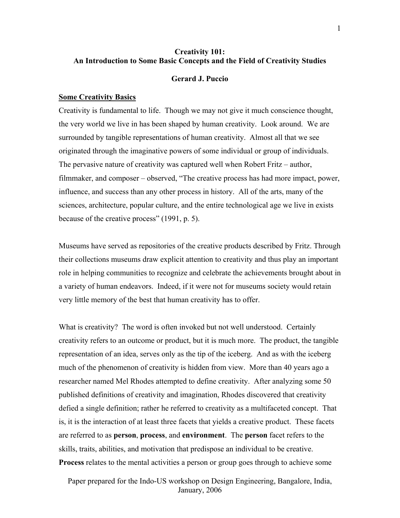# **Creativity 101: An Introduction to Some Basic Concepts and the Field of Creativity Studies**

### **Gerard J. Puccio**

#### **Some Creativity Basics**

Creativity is fundamental to life. Though we may not give it much conscience thought, the very world we live in has been shaped by human creativity. Look around. We are surrounded by tangible representations of human creativity. Almost all that we see originated through the imaginative powers of some individual or group of individuals. The pervasive nature of creativity was captured well when Robert Fritz – author, filmmaker, and composer – observed, "The creative process has had more impact, power, influence, and success than any other process in history. All of the arts, many of the sciences, architecture, popular culture, and the entire technological age we live in exists because of the creative process" (1991, p. 5).

Museums have served as repositories of the creative products described by Fritz. Through their collections museums draw explicit attention to creativity and thus play an important role in helping communities to recognize and celebrate the achievements brought about in a variety of human endeavors. Indeed, if it were not for museums society would retain very little memory of the best that human creativity has to offer.

What is creativity? The word is often invoked but not well understood. Certainly creativity refers to an outcome or product, but it is much more. The product, the tangible representation of an idea, serves only as the tip of the iceberg. And as with the iceberg much of the phenomenon of creativity is hidden from view. More than 40 years ago a researcher named Mel Rhodes attempted to define creativity. After analyzing some 50 published definitions of creativity and imagination, Rhodes discovered that creativity defied a single definition; rather he referred to creativity as a multifaceted concept. That is, it is the interaction of at least three facets that yields a creative product. These facets are referred to as **person**, **process**, and **environment**. The **person** facet refers to the skills, traits, abilities, and motivation that predispose an individual to be creative. **Process** relates to the mental activities a person or group goes through to achieve some

Paper prepared for the Indo-US workshop on Design Engineering, Bangalore, India, January, 2006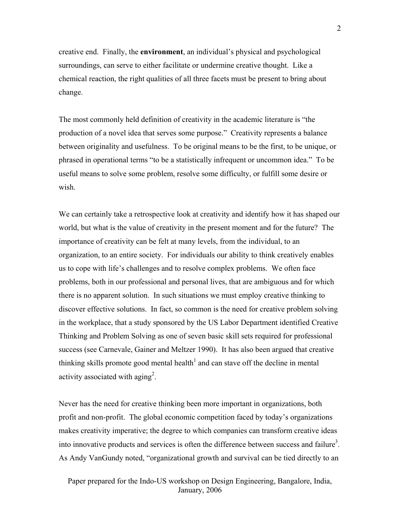creative end. Finally, the **environment**, an individual's physical and psychological surroundings, can serve to either facilitate or undermine creative thought. Like a chemical reaction, the right qualities of all three facets must be present to bring about change.

The most commonly held definition of creativity in the academic literature is "the production of a novel idea that serves some purpose." Creativity represents a balance between originality and usefulness. To be original means to be the first, to be unique, or phrased in operational terms "to be a statistically infrequent or uncommon idea." To be useful means to solve some problem, resolve some difficulty, or fulfill some desire or wish.

We can certainly take a retrospective look at creativity and identify how it has shaped our world, but what is the value of creativity in the present moment and for the future? The importance of creativity can be felt at many levels, from the individual, to an organization, to an entire society. For individuals our ability to think creatively enables us to cope with life's challenges and to resolve complex problems. We often face problems, both in our professional and personal lives, that are ambiguous and for which there is no apparent solution. In such situations we must employ creative thinking to discover effective solutions. In fact, so common is the need for creative problem solving in the workplace, that a study sponsored by the US Labor Department identified Creative Thinking and Problem Solving as one of seven basic skill sets required for professional success (see Carnevale, Gainer and Meltzer 1990). It has also been argued that creative thinking skills promote good mental health<sup>[1](#page-5-0)</sup> and can stave off the decline in mental activity associated with aging<sup>[2](#page-5-1)</sup>.

Never has the need for creative thinking been more important in organizations, both profit and non-profit. The global economic competition faced by today's organizations makes creativity imperative; the degree to which companies can transform creative ideas into innovative products and services is often the difference between success and failure<sup>3</sup>. As Andy VanGundy noted, "organizational growth and survival can be tied directly to an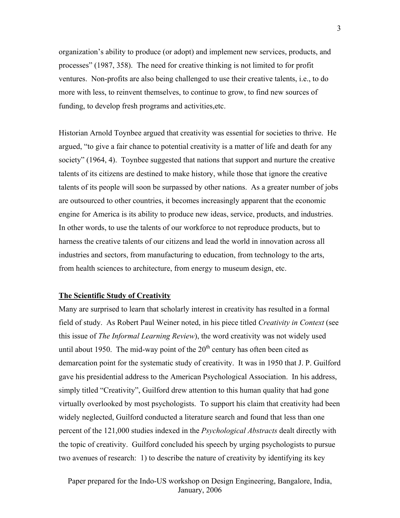organization's ability to produce (or adopt) and implement new services, products, and processes" (1987, 358). The need for creative thinking is not limited to for profit ventures. Non-profits are also being challenged to use their creative talents, i.e., to do more with less, to reinvent themselves, to continue to grow, to find new sources of funding, to develop fresh programs and activities,etc.

Historian Arnold Toynbee argued that creativity was essential for societies to thrive. He argued, "to give a fair chance to potential creativity is a matter of life and death for any society" (1964, 4). Toynbee suggested that nations that support and nurture the creative talents of its citizens are destined to make history, while those that ignore the creative talents of its people will soon be surpassed by other nations. As a greater number of jobs are outsourced to other countries, it becomes increasingly apparent that the economic engine for America is its ability to produce new ideas, service, products, and industries. In other words, to use the talents of our workforce to not reproduce products, but to harness the creative talents of our citizens and lead the world in innovation across all industries and sectors, from manufacturing to education, from technology to the arts, from health sciences to architecture, from energy to museum design, etc.

### **The Scientific Study of Creativity**

Many are surprised to learn that scholarly interest in creativity has resulted in a formal field of study. As Robert Paul Weiner noted, in his piece titled *Creativity in Context* (see this issue of *The Informal Learning Review*), the word creativity was not widely used until about 1950. The mid-way point of the  $20<sup>th</sup>$  century has often been cited as demarcation point for the systematic study of creativity. It was in 1950 that J. P. Guilford gave his presidential address to the American Psychological Association. In his address, simply titled "Creativity", Guilford drew attention to this human quality that had gone virtually overlooked by most psychologists. To support his claim that creativity had been widely neglected, Guilford conducted a literature search and found that less than one percent of the 121,000 studies indexed in the *Psychological Abstracts* dealt directly with the topic of creativity. Guilford concluded his speech by urging psychologists to pursue two avenues of research: 1) to describe the nature of creativity by identifying its key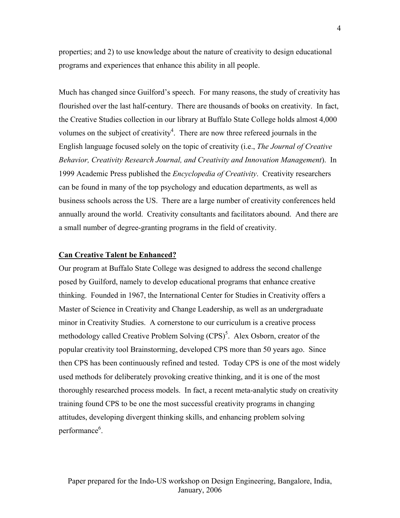properties; and 2) to use knowledge about the nature of creativity to design educational programs and experiences that enhance this ability in all people.

Much has changed since Guilford's speech. For many reasons, the study of creativity has flourished over the last half-century. There are thousands of books on creativity. In fact, the Creative Studies collection in our library at Buffalo State College holds almost 4,000 volumes on the subject of creativity<sup>[4](#page-5-3)</sup>. There are now three refereed journals in the English language focused solely on the topic of creativity (i.e., *The Journal of Creative Behavior, Creativity Research Journal, and Creativity and Innovation Management*). In 1999 Academic Press published the *Encyclopedia of Creativity*. Creativity researchers can be found in many of the top psychology and education departments, as well as business schools across the US. There are a large number of creativity conferences held annually around the world. Creativity consultants and facilitators abound. And there are a small number of degree-granting programs in the field of creativity.

### **Can Creative Talent be Enhanced?**

Our program at Buffalo State College was designed to address the second challenge posed by Guilford, namely to develop educational programs that enhance creative thinking. Founded in 1967, the International Center for Studies in Creativity offers a Master of Science in Creativity and Change Leadership, as well as an undergraduate minor in Creativity Studies. A cornerstone to our curriculum is a creative process methodology called Creative Problem Solving  $(CPS)^5$  $(CPS)^5$ . Alex Osborn, creator of the popular creativity tool Brainstorming, developed CPS more than 50 years ago. Since then CPS has been continuously refined and tested. Today CPS is one of the most widely used methods for deliberately provoking creative thinking, and it is one of the most thoroughly researched process models. In fact, a recent meta-analytic study on creativity training found CPS to be one the most successful creativity programs in changing attitudes, developing divergent thinking skills, and enhancing problem solving performance<sup>[6](#page-5-5)</sup>.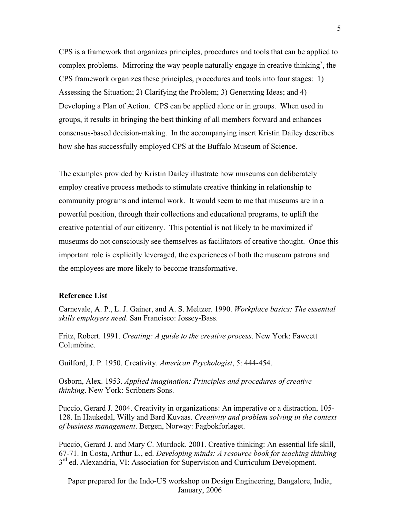CPS is a framework that organizes principles, procedures and tools that can be applied to complex problems. Mirroring the way people naturally engage in creative thinking<sup>[7](#page-5-6)</sup>, the CPS framework organizes these principles, procedures and tools into four stages: 1) Assessing the Situation; 2) Clarifying the Problem; 3) Generating Ideas; and 4) Developing a Plan of Action. CPS can be applied alone or in groups. When used in groups, it results in bringing the best thinking of all members forward and enhances consensus-based decision-making. In the accompanying insert Kristin Dailey describes how she has successfully employed CPS at the Buffalo Museum of Science.

The examples provided by Kristin Dailey illustrate how museums can deliberately employ creative process methods to stimulate creative thinking in relationship to community programs and internal work. It would seem to me that museums are in a powerful position, through their collections and educational programs, to uplift the creative potential of our citizenry. This potential is not likely to be maximized if museums do not consciously see themselves as facilitators of creative thought. Once this important role is explicitly leveraged, the experiences of both the museum patrons and the employees are more likely to become transformative.

## **Reference List**

Carnevale, A. P., L. J. Gainer, and A. S. Meltzer. 1990. *Workplace basics: The essential skills employers need*. San Francisco: Jossey-Bass.

Fritz, Robert. 1991. *Creating: A guide to the creative process*. New York: Fawcett Columbine.

Guilford, J. P. 1950. Creativity. *American Psychologist*, 5: 444-454.

Osborn, Alex. 1953. *Applied imagination: Principles and procedures of creative thinking*. New York: Scribners Sons.

Puccio, Gerard J. 2004. Creativity in organizations: An imperative or a distraction, 105- 128. In Haukedal, Willy and Bard Kuvaas. *Creativity and problem solving in the context of business management*. Bergen, Norway: Fagbokforlaget.

Puccio, Gerard J. and Mary C. Murdock. 2001. Creative thinking: An essential life skill, 67-71. In Costa, Arthur L., ed. *Developing minds: A resource book for teaching thinking*  $3<sup>rd</sup>$  ed. Alexandria, VI: Association for Supervision and Curriculum Development.

Paper prepared for the Indo-US workshop on Design Engineering, Bangalore, India, January, 2006